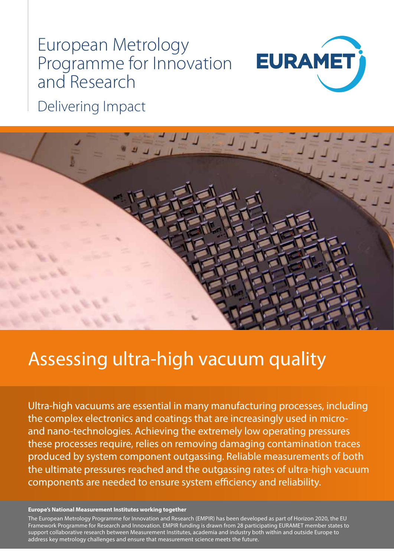# European Metrology Programme for Innovation and Research



Delivering Impact



## Assessing ultra-high vacuum quality

Ultra-high vacuums are essential in many manufacturing processes, including the complex electronics and coatings that are increasingly used in microand nano-technologies. Achieving the extremely low operating pressures these processes require, relies on removing damaging contamination traces produced by system component outgassing. Reliable measurements of both the ultimate pressures reached and the outgassing rates of ultra-high vacuum components are needed to ensure system efficiency and reliability.

#### **Europe's National Measurement Institutes working together**

The European Metrology Programme for Innovation and Research (EMPIR) has been developed as part of Horizon 2020, the EU Framework Programme for Research and Innovation. EMPIR funding is drawn from 28 participating EURAMET member states to support collaborative research between Measurement Institutes, academia and industry both within and outside Europe to address key metrology challenges and ensure that measurement science meets the future.